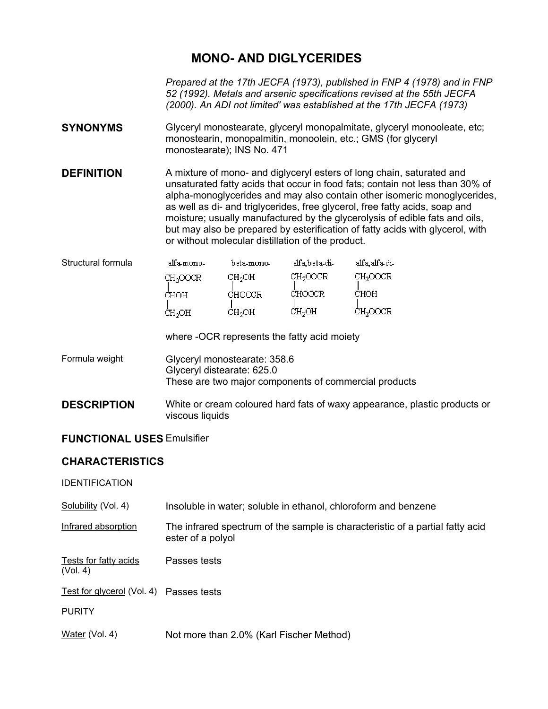## **MONO- AND DIGLYCERIDES**

*Prepared at the 17th JECFA (1973), published in FNP 4 (1978) and in FNP 52 (1992). Metals and arsenic specifications revised at the 55th JECFA (2000). An ADI not limited' was established at the 17th JECFA (1973)* 

- **SYNONYMS** Glyceryl monostearate, glyceryl monopalmitate, glyceryl monooleate, etc; monostearin, monopalmitin, monoolein, etc.; GMS (for glyceryl monostearate); INS No. 471
- **DEFINITION** A mixture of mono- and diglyceryl esters of long chain, saturated and unsaturated fatty acids that occur in food fats; contain not less than 30% of alpha-monoglycerides and may also contain other isomeric monoglycerides, as well as di- and triglycerides, free glycerol, free fatty acids, soap and moisture; usually manufactured by the glycerolysis of edible fats and oils, but may also be prepared by esterification of fatty acids with glycerol, with or without molecular distillation of the product.

| Structural formula | alfa-mono-           | beta-mono-         | alfa.beta-di-        | alfa_alfa_di-        |
|--------------------|----------------------|--------------------|----------------------|----------------------|
|                    | CH <sub>2</sub> OOCR | CH <sub>2</sub> OH | CH <sub>2</sub> OOCR | CH <sub>2</sub> OOCR |
|                    | CHOH                 | CHOOCR             | CHOOCR               | CHOH                 |
|                    | ĊΉ <sub>2</sub> OH   | CH <sub>2</sub> OH | CH <sub>2</sub> OH   | CH <sub>2</sub> OOCR |

where -OCR represents the fatty acid moiety

- Formula weight Glyceryl monostearate: 358.6 Glyceryl distearate: 625.0 These are two major components of commercial products
- **DESCRIPTION** White or cream coloured hard fats of waxy appearance, plastic products or viscous liquids

## **FUNCTIONAL USES** Emulsifier

## **CHARACTERISTICS**

IDENTIFICATION

| Solubility (Vol. 4)               | Insoluble in water; soluble in ethanol, chloroform and benzene                                     |
|-----------------------------------|----------------------------------------------------------------------------------------------------|
| Infrared absorption               | The infrared spectrum of the sample is characteristic of a partial fatty acid<br>ester of a polyol |
| Tests for fatty acids<br>(Vol. 4) | Passes tests                                                                                       |
| Test for glycerol (Vol. 4)        | Passes tests                                                                                       |
| <b>PURITY</b>                     |                                                                                                    |
| Water (Vol. 4)                    | Not more than 2.0% (Karl Fischer Method)                                                           |